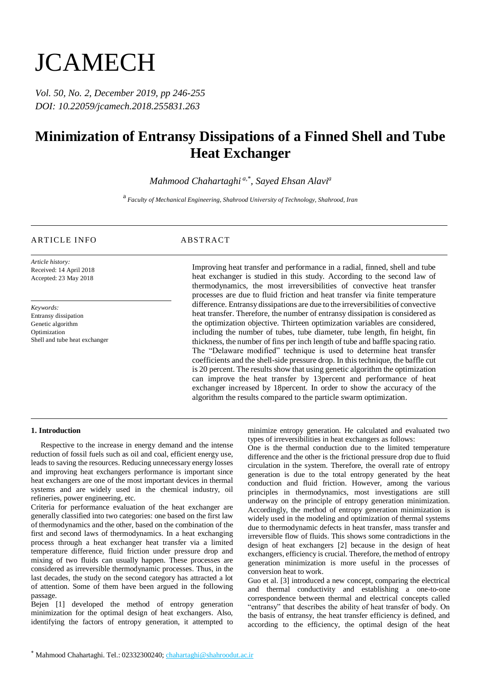# **JCAMECH**

*Vol. 50, No. 2, December 2019, pp 246-255 DOI: 10.22059/jcamech.2018.255831.263*

## **Minimization of Entransy Dissipations of a Finned Shell and Tube Heat Exchanger**

*Mahmood Chahartaghi a,\* , Sayed Ehsan Alavi<sup>a</sup>*

a *Faculty of Mechanical Engineering, Shahrood University of Technology, Shahrood, Iran*

### ARTICLE INFO ABSTRACT

*Article history:* Received: 14 April 2018 Accepted: 23 May 2018

*Keywords:* Entransy dissipation Genetic algorithm **Optimization** Shell and tube heat exchanger

Improving heat transfer and performance in a radial, finned, shell and tube heat exchanger is studied in this study. According to the second law of thermodynamics, the most irreversibilities of convective heat transfer processes are due to fluid friction and heat transfer via finite temperature difference. Entransy dissipations are due to the irreversibilities of convective heat transfer. Therefore, the number of entransy dissipation is considered as the optimization objective. Thirteen optimization variables are considered, including the number of tubes, tube diameter, tube length, fin height, fin thickness, the number of fins per inch length of tube and baffle spacing ratio. The "Delaware modified" technique is used to determine heat transfer coefficients and the shell-side pressure drop. In this technique, the baffle cut is 20 percent. The results show that using genetic algorithm the optimization can improve the heat transfer by 13percent and performance of heat exchanger increased by 18percent. In order to show the accuracy of the algorithm the results compared to the particle swarm optimization.

#### **1. Introduction**

 Respective to the increase in energy demand and the intense reduction of fossil fuels such as oil and coal, efficient energy use, leads to saving the resources. Reducing unnecessary energy losses and improving heat exchangers performance is important since heat exchangers are one of the most important devices in thermal systems and are widely used in the chemical industry, oil refineries, power engineering, etc.

Criteria for performance evaluation of the heat exchanger are generally classified into two categories: one based on the first law of thermodynamics and the other, based on the combination of the first and second laws of thermodynamics. In a heat exchanging process through a heat exchanger heat transfer via a limited temperature difference, fluid friction under pressure drop and mixing of two fluids can usually happen. These processes are considered as irreversible thermodynamic processes. Thus, in the last decades, the study on the second category has attracted a lot of attention. Some of them have been argued in the following passage.

Bejen [1] developed the method of entropy generation minimization for the optimal design of heat exchangers. Also, identifying the factors of entropy generation, it attempted to

minimize entropy generation. He calculated and evaluated two types of irreversibilities in heat exchangers as follows:

One is the thermal conduction due to the limited temperature difference and the other is the frictional pressure drop due to fluid circulation in the system. Therefore, the overall rate of entropy generation is due to the total entropy generated by the heat conduction and fluid friction. However, among the various principles in thermodynamics, most investigations are still underway on the principle of entropy generation minimization. Accordingly, the method of entropy generation minimization is widely used in the modeling and optimization of thermal systems due to thermodynamic defects in heat transfer, mass transfer and irreversible flow of fluids. This shows some contradictions in the design of heat exchangers [2] because in the design of heat exchangers, efficiency is crucial. Therefore, the method of entropy generation minimization is more useful in the processes of conversion heat to work.

Guo et al. [3] introduced a new concept, comparing the electrical and thermal conductivity and establishing a one-to-one correspondence between thermal and electrical concepts called "entransy" that describes the ability of heat transfer of body. On the basis of entransy, the heat transfer efficiency is defined, and according to the efficiency, the optimal design of the heat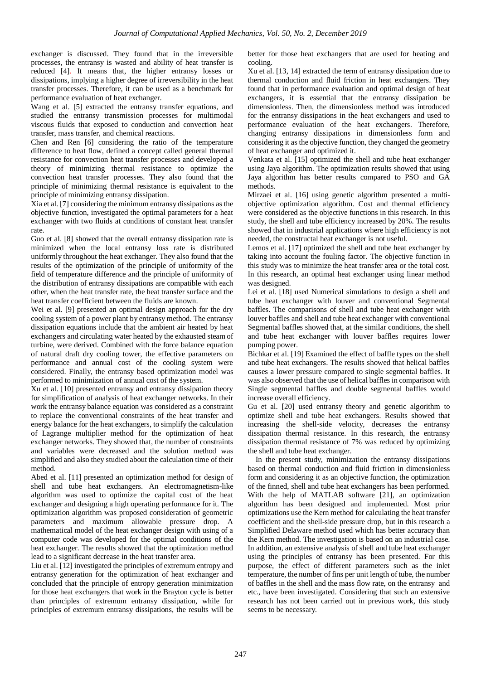exchanger is discussed. They found that in the irreversible processes, the entransy is wasted and ability of heat transfer is reduced [4]. It means that, the higher entransy losses or dissipations, implying a higher degree of irreversibility in the heat transfer processes. Therefore, it can be used as a benchmark for performance evaluation of heat exchanger.

Wang et al. [5] extracted the entransy transfer equations, and studied the entransy transmission processes for multimodal viscous fluids that exposed to conduction and convection heat transfer, mass transfer, and chemical reactions.

Chen and Ren [6] considering the ratio of the temperature difference to heat flow, defined a concept called general thermal resistance for convection heat transfer processes and developed a theory of minimizing thermal resistance to optimize the convection heat transfer processes. They also found that the principle of minimizing thermal resistance is equivalent to the principle of minimizing entransy dissipation.

Xia et al. [7] considering the minimum entransy dissipations as the objective function, investigated the optimal parameters for a heat exchanger with two fluids at conditions of constant heat transfer rate.

Guo et al. [8] showed that the overall entransy dissipation rate is minimized when the local entransy loss rate is distributed uniformly throughout the heat exchanger. They also found that the results of the optimization of the principle of uniformity of the field of temperature difference and the principle of uniformity of the distribution of entransy dissipations are compatible with each other, when the heat transfer rate, the heat transfer surface and the heat transfer coefficient between the fluids are known.

Wei et al. [9] presented an optimal design approach for the dry cooling system of a power plant by entransy method. The entransy dissipation equations include that the ambient air heated by heat exchangers and circulating water heated by the exhausted steam of turbine, were derived. Combined with the force balance equation of natural draft dry cooling tower, the effective parameters on performance and annual cost of the cooling system were considered. Finally, the entransy based optimization model was performed to minimization of annual cost of the system.

Xu et al. [10] presented entransy and entransy dissipation theory for simplification of analysis of heat exchanger networks. In their work the entransy balance equation was considered as a constraint to replace the conventional constraints of the heat transfer and energy balance for the heat exchangers, to simplify the calculation of Lagrange multiplier method for the optimization of heat exchanger networks. They showed that, the number of constraints and variables were decreased and the solution method was simplified and also they studied about the calculation time of their method.

Abed et al. [11] presented an optimization method for design of shell and tube heat exchangers. An electromagnetism-like algorithm was used to optimize the capital cost of the heat exchanger and designing a high operating performance for it. The optimization algorithm was proposed consideration of geometric parameters and maximum allowable pressure drop. A mathematical model of the heat exchanger design with using of a computer code was developed for the optimal conditions of the heat exchanger. The results showed that the optimization method lead to a significant decrease in the heat transfer area.

Liu et al. [12] investigated the principles of extremum entropy and entransy generation for the optimization of heat exchanger and concluded that the principle of entropy generation minimization for those heat exchangers that work in the Brayton cycle is better than principles of extremum entransy dissipation, while for principles of extremum entransy dissipations, the results will be

better for those heat exchangers that are used for heating and cooling.

Xu et al. [13, 14] extracted the term of entransy dissipation due to thermal conduction and fluid friction in heat exchangers. They found that in performance evaluation and optimal design of heat exchangers, it is essential that the entransy dissipation be dimensionless. Then, the dimensionless method was introduced for the entransy dissipations in the heat exchangers and used to performance evaluation of the heat exchangers. Therefore, changing entransy dissipations in dimensionless form and considering it as the objective function, they changed the geometry of heat exchanger and optimized it.

Venkata et al. [15] optimized the shell and tube heat exchanger using Jaya algorithm. The optimization results showed that using Jaya algorithm has better results compared to PSO and GA methods.

Mirzaei et al. [16] using genetic algorithm presented a multiobjective optimization algorithm. Cost and thermal efficiency were considered as the objective functions in this research. In this study, the shell and tube efficiency increased by 20%. The results showed that in industrial applications where high efficiency is not needed, the constructal heat exchanger is not useful.

Lemos et al. [17] optimized the shell and tube heat exchanger by taking into account the fouling factor. The objective function in this study was to minimize the heat transfer area or the total cost. In this research, an optimal heat exchanger using linear method was designed.

Lei et al. [18] used Numerical simulations to design a shell and tube heat exchanger with louver and conventional Segmental baffles. The comparisons of shell and tube heat exchanger with louver baffles and shell and tube heat exchanger with conventional Segmental baffles showed that, at the similar conditions, the shell and tube heat exchanger with louver baffles requires lower pumping power.

Bichkar et al. [19] Examined the effect of baffle types on the shell and tube heat exchangers. The results showed that helical baffles causes a lower pressure compared to single segmental baffles. It was also observed that the use of helical baffles in comparison with Single segmental baffles and double segmental baffles would increase overall efficiency.

Gu et al. [20] used entransy theory and genetic algorithm to optimize shell and tube heat exchangers. Results showed that increasing the shell-side velocity, decreases the entransy dissipation thermal resistance. In this research, the entransy dissipation thermal resistance of 7% was reduced by optimizing the shell and tube heat exchanger.

 In the present study, minimization the entransy dissipations based on thermal conduction and fluid friction in dimensionless form and considering it as an objective function, the optimization of the finned, shell and tube heat exchangers has been performed. With the help of MATLAB software [21], an optimization algorithm has been designed and implemented. Most prior optimizations use the Kern method for calculating the heat transfer coefficient and the shell-side pressure drop, but in this research a Simplified Delaware method used which has better accuracy than the Kern method. The investigation is based on an industrial case. In addition, an extensive analysis of shell and tube heat exchanger using the principles of entransy has been presented. For this purpose, the effect of different parameters such as the inlet temperature, the number of fins per unit length of tube, the number of baffles in the shell and the mass flow rate, on the entransy and etc., have been investigated. Considering that such an extensive research has not been carried out in previous work, this study seems to be necessary.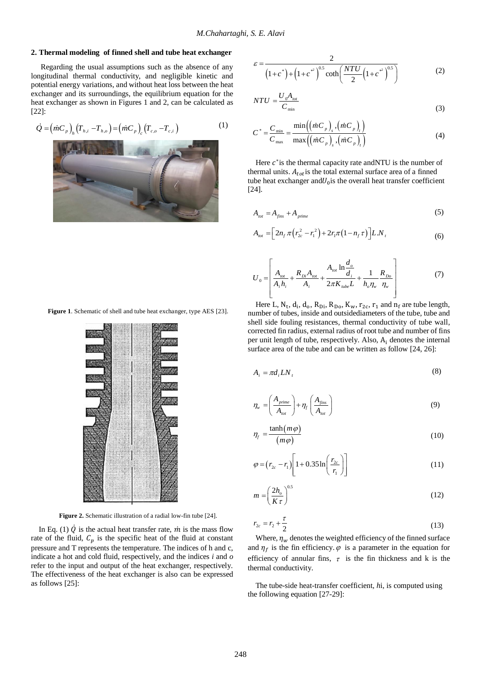#### **2. Thermal modeling of finned shell and tube heat exchanger**

 Regarding the usual assumptions such as the absence of any longitudinal thermal conductivity, and negligible kinetic and potential energy variations, and without heat loss between the heat exchanger and its surroundings, the equilibrium equation for the heat exchanger as shown in Figures 1 and 2, can be calculated as [22]:

$$
\dot{Q} = (mC_p)_h (T_{h,i} - T_{h,o}) = (mC_p)_c (T_{c,o} - T_{c,i})
$$
\n(1)



$$
\varepsilon = \frac{2}{\left(1 + c^*\right) + \left(1 + c^{*^2}\right)^{0.5} \coth\left(\frac{NTU}{2}\left(1 + c^{*^2}\right)^{0.5}\right)}\tag{2}
$$

$$
NTU = \frac{U_0 A_{tot}}{C_{min}} \tag{3}
$$

$$
C^* = \frac{C_{\min}}{C_{\max}} = \frac{\min((\dot{m}C_p), (\dot{m}C_p))}{\max((\dot{m}C_p), (\dot{m}C_p))}
$$
(4)

Here  $c^*$  is the thermal capacity rate and NTU is the number of thermal units.  $A_{tot}$  is the total external surface area of a finned tube heat exchanger and  $U_0$  is the overall heat transfer coefficient [24].

$$
A_{tot} = A_{fins} + A_{prime} \tag{5}
$$

$$
A_{\text{tot}} = \left[2n_f \pi \left(r_{2c}^2 - r_1^2\right) + 2r_1 \pi \left(1 - n_f \tau\right)\right] L.N_r
$$
 (6)

$$
U_0 = \left[ \frac{A_{tot}}{A_i h_i} + \frac{R_{Di} A_{tot}}{A_i} + \frac{A_{tot} \ln \frac{d_o}{d_i}}{2\pi K_{tube} L} + \frac{1}{h_o \eta_w} \frac{R_{Do}}{\eta_w} \right]
$$
(7)

**Figure 1**. Schematic of shell and tube heat exchanger, type AES [23].



**Figure 2.** Schematic illustration of a radial low-fin tube [24].

In Eq. (1)  $\dot{Q}$  is the actual heat transfer rate,  $\dot{m}$  is the mass flow rate of the fluid,  $C_p$  is the specific heat of the fluid at constant pressure and T represents the temperature. The indices of h and c, indicate a hot and cold fluid, respectively, and the indices *i* and *o* refer to the input and output of the heat exchanger, respectively. The effectiveness of the heat exchanger is also can be expressed as follows [25]:

Here L,  $N_t$ ,  $d_i$ ,  $d_o$ ,  $R_{Di}$ ,  $R_{Do}$ ,  $K_w$ ,  $r_{2c}$ ,  $r_1$  and  $n_f$  are tube length, number of tubes, inside and outsidediameters of the tube, tube and shell side fouling resistances, thermal conductivity of tube wall, corrected fin radius, external radius of root tube and number of fins per unit length of tube, respectively. Also,  $A_i$  denotes the internal surface area of the tube and can be written as follow [24, 26]:

$$
A_i = \pi d_i L N_i \tag{8}
$$

$$
\eta_{w} = \left(\frac{A_{p\text{time}}}{A_{\text{tot}}}\right) + \eta_{f}\left(\frac{A_{\text{fins}}}{A_{\text{tot}}}\right) \tag{9}
$$

$$
\eta_f = \frac{\tanh(m\varphi)}{(m\varphi)}\tag{10}
$$

$$
\varphi = (r_{2c} - r_1) \left[ 1 + 0.35 \ln \left( \frac{r_{2c}}{r_1} \right) \right]
$$
\n(11)

$$
m = \left(\frac{2h_o}{K\tau}\right)^{0.5} \tag{12}
$$

$$
r_{2c} = r_2 + \frac{\tau}{2} \tag{13}
$$

Where,  $\eta_w$  denotes the weighted efficiency of the finned surface and  $\eta_f$  is the fin efficiency.  $\varphi$  is a parameter in the equation for efficiency of annular fins,  $\tau$  is the fin thickness and k is the thermal conductivity.

 The tube-side heat-transfer coefficient, *h*i, is computed using the following equation [27-29]: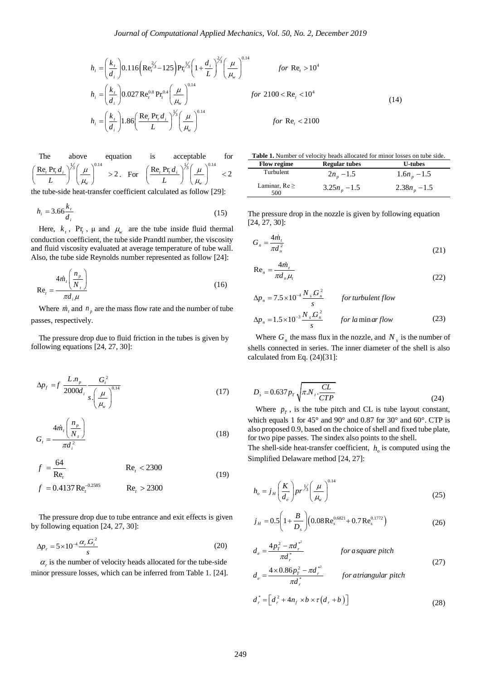$$
h_{i} = \left(\frac{k_{t}}{d_{i}}\right) 0.116 \left(\text{Re}_{t}^{\frac{2}{3}} - 125\right) \text{Pr}_{t}^{\frac{1}{3}} \left(1 + \frac{d_{i}}{L}\right)^{\frac{2}{3}} \left(\frac{\mu}{\mu_{w}}\right)^{0.14}
$$
 *for* Re<sub>t</sub> > 10<sup>4</sup>  

$$
h_{i} = \left(\frac{k_{t}}{d_{i}}\right) 0.027 \text{ Re}_{t}^{0.8} \text{ Pr}_{t}^{0.4} \left(\frac{\mu}{\mu_{w}}\right)^{0.14}
$$
 *for* 2100  $<$  Re<sub>t</sub>  $<$  10<sup>4</sup>  

$$
h_{i} = \left(\frac{k_{t}}{d_{i}}\right) 1.86 \left(\frac{\text{Re}_{t} \text{ Pr}_{t} d_{i}}{L}\right)^{\frac{1}{3}} \left(\frac{\mu}{\mu_{w}}\right)^{0.14}
$$
 *for* Re<sub>t</sub>  $<$  2100

 The above equation is acceptable for  $\frac{\text{Re}_{t} \Pr_{i} d_{i}}{2}$   $\left| \frac{\mu}{2} \left( \frac{\mu}{2} \right)^{0.14} \right| > 2$ *w d L*  $\mu$  $\bigg(\frac{\mathrm{Re}_t\,\mathrm{Pr}_t\,d_{\,i}}{L}\bigg)^{\!\!{\beta_3'}}\!\!\bigg(\frac{\mu}{\mu_{\!v}}\bigg)^{\!\!0.14}\;\;>$ . For  $\text{Re}_{t} \Pr_{i} d_{i} \sqrt{\frac{1}{3} (\mu)}^{0.14}$  $\lt 2$ *w*  $\left(\frac{\operatorname{Re}_t\operatorname{Pr}_t d_i}{L}\right)^{\frac{1}{3}}\left(\frac{\mu}{\mu_{\scriptscriptstyle{W}}}\right)^{0.14}$  $\mu$ д

the tube-side heat-transfer coefficient calculated as follow [29]:

$$
h_i = 3.66 \frac{k_i}{d_i} \tag{15}
$$

Here,  $k_t$ , Pr<sub>t</sub>,  $\mu$  and  $\mu_w$  are the tube inside fluid thermal conduction coefficient, the tube side Prandtl number, the viscosity and fluid viscosity evaluated at average temperature of tube wall. Also, the tube side Reynolds number represented as follow [24]:

$$
\text{Re}_t = \frac{4\dot{m}_t \left(\frac{n_p}{N_t}\right)}{\pi d_i \mu} \tag{16}
$$

Where  $\dot{m}_t$  and  $n_p$  are the mass flow rate and the number of tube passes, respectively.

 The pressure drop due to fluid friction in the tubes is given by following equations [24, 27, 30]:

$$
\Delta p_f = f \frac{L.n_p}{2000d_i} \frac{G_i^2}{s \left(\frac{\mu}{\mu_w}\right)^{0.14}}
$$
 (17)

$$
G_t = \frac{4\dot{m}_t \left(\frac{n_p}{N_t}\right)}{\pi d_i^2} \tag{18}
$$

$$
f = \frac{64}{\text{Re}_t} \qquad \qquad \text{Re}_t < 2300
$$
  

$$
f = 0.4137 \text{Re}_t^{-0.2585} \qquad \qquad \text{Re}_t > 2300 \qquad (19)
$$

$$
f = 0.4137 \,\text{Re}_t^{-0.2585} \qquad \text{Re}_t > 2300
$$

 The pressure drop due to tube entrance and exit effects is given by following equation [24, 27, 30]:

$$
\Delta p_r = 5 \times 10^{-4} \frac{\alpha_r G_i^2}{s} \tag{20}
$$

 $\alpha_r$  is the number of velocity heads allocated for the tube-side minor pressure losses, which can be inferred from Table 1. [24].

$$
for \ Re_{t} > 10^{4}
$$
\n
$$
for \ 2100 < \Re_{t} < 10^{4}
$$
\n
$$
for \ Re_{t} < 2100
$$
\n
$$
for \ Re_{t} < 2100
$$
\n
$$
for \ Re_{t} < 2100
$$
\n
$$
for \ Re_{t} < 2100
$$
\n
$$
for \ Re_{t} < 2100
$$
\n
$$
for \ Re_{t} < 2100
$$
\n
$$
for \ Re_{t} < 2100
$$
\n
$$
for \ Re_{t} < 2100
$$

**Table 1.** Number of velocity heads allocated for minor losses on tube side.

| <b>Flow regime</b>        | <b>Regular tubes</b> | <b>U-tubes</b> |
|---------------------------|----------------------|----------------|
| Turbulent                 | $2n_{n}$ – 1.5       | $1.6nn - 1.5$  |
| Laminar, $Re \geq$<br>500 | $3.25nn - 1.5$       | $2.38nn - 1.5$ |

The pressure drop in the nozzle is given by following equation [24, 27, 30]:

$$
G_n = \frac{4\dot{m}_t}{\pi d_n^2} \tag{21}
$$

$$
\text{Re}_n = \frac{4\dot{m}_t}{\pi d_n \mu_t} \tag{22}
$$

$$
\Delta p_n = 7.5 \times 10^{-4} \frac{N_s G_n^2}{s} \qquad \text{for turbulent flow}
$$
\n
$$
\Delta p_n = 1.5 \times 10^{-3} \frac{N_s G_n^2}{s} \qquad \text{for laminar flow} \tag{23}
$$

Where  $G_n$  the mass flux in the nozzle, and  $N_s$  is the number of shells connected in series. The inner diameter of the shell is also calculated from Eq. (24)[31]:

$$
D_s = 0.637 p_T \sqrt{\pi N_t \frac{CL}{CTP}}
$$
 (24)

Where  $p_T$ , is the tube pitch and CL is tube layout constant, which equals 1 for 45° and 90° and 0.87 for 30° and 60°. CTP is also proposed 0.9, based on the choice of shell and fixed tube plate, for two pipe passes. The sindex also points to the shell.

The shell-side heat-transfer coefficient,  $h<sub>o</sub>$  is computed using the Simplified Delaware method [24, 27]:

$$
h_o = j_H \left(\frac{K}{d_e}\right) pr^{\frac{1}{3}} \left(\frac{\mu}{\mu_w}\right)^{0.14} \tag{25}
$$

$$
j_H = 0.5 \left( 1 + \frac{B}{D_s} \right) \left( 0.08 \text{Re}_s^{0.6821} + 0.7 \text{Re}_s^{0.1772} \right)
$$
 (26)

$$
d_e = \frac{4p_r^2 - \pi d_r^{*^2}}{\pi d_r^*}
$$
 for a square pitch  

$$
d = \frac{4 \times 0.86p_r^2 - \pi d_r^{*^2}}{\pi d_r^*}
$$
 for a triangular pitch

$$
\pi a_r
$$
\n
$$
d_e = \frac{4 \times 0.86p_T^2 - \pi d_r^{*^2}}{\pi d_r^*}
$$
 for a triangular pitch\n
$$
d_r^* = \left[d_r^2 + 4n_f \times b \times \tau(d_r + b)\right]
$$
\n(28)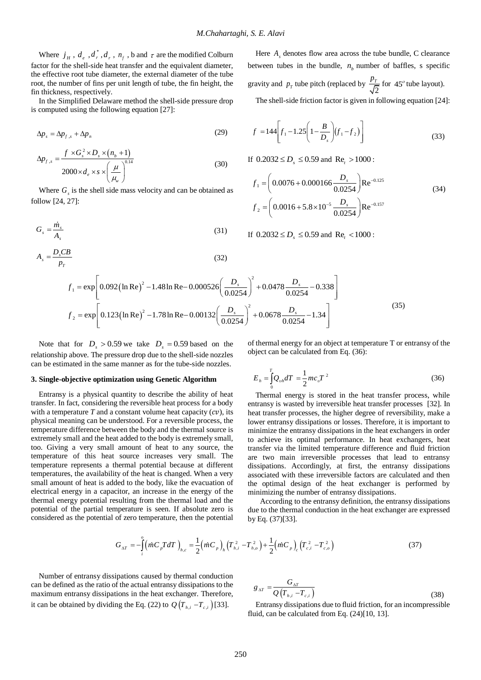Where  $j_H$ ,  $d_e$ ,  $d_r^*$ ,  $d_r$ ,  $n_f$ ,  $b$  and  $\tau$  are the modified Colburn factor for the shell-side heat transfer and the equivalent diameter, the effective root tube diameter, the external diameter of the tube root, the number of fins per unit length of tube, the fin height, the fin thickness, respectively.

 In the Simplified Delaware method the shell-side pressure drop is computed using the following equation [27]:

$$
\Delta p_s = \Delta p_{f,s} + \Delta p_n \tag{29}
$$

$$
\Delta p_{f,s} = \frac{f \times G_s^2 \times D_s \times (n_b + 1)}{2000 \times d_e \times s \times \left(\frac{\mu}{\mu_v}\right)^{0.14}}
$$
(30)

Where  $G<sub>s</sub>$  is the shell side mass velocity and can be obtained as follow [24, 27]:

$$
G_s = \frac{\dot{m}_s}{A_s} \tag{31}
$$

$$
A_s = \frac{D_s C B}{p_T}
$$
(32)  

$$
f_1 = \exp\left[0.092 \left(\ln \text{Re}\right)^2 - 1.48 \ln \text{Re} - 0.000526 \left(\frac{D_s}{0.0254}\right)^2 + 0.0478 \frac{D_s}{0.0254} - 0.338\right]
$$

Here  $A_s$  denotes flow area across the tube bundle, C clearance between tubes in the bundle,  $n_b$  number of baffles, s specific gravity and  $p<sub>T</sub>$  tube pitch (replaced by  $\overline{c}$  $\frac{p_T}{\sqrt{2}}$  for 45<sup>o</sup> tube layout). The shell-side friction factor is given in following equation [24]:

$$
f = 144 \left[ f_1 - 1.25 \left( 1 - \frac{B}{D_s} \right) \left( f_1 - f_2 \right) \right]
$$
 (33)

If  $0.2032 \le D_s \le 0.59$  and  $Re_t > 1000$ :

$$
f_1 = \left(0.0076 + 0.000166 \frac{D_s}{0.0254}\right) \text{Re}^{-0.125}
$$
  

$$
f_2 = \left(0.0016 + 5.8 \times 10^{-5} \frac{D_s}{0.0254}\right) \text{Re}^{-0.157}
$$
 (34)

If 
$$
0.2032 \le D_s \le 0.59
$$
 and  $Re_t < 1000$ :

$$
P_{T}
$$
  
\n
$$
f_{1} = \exp\left[0.092(\ln \text{Re})^{2} - 1.48 \ln \text{Re} - 0.000526\left(\frac{D_{s}}{0.0254}\right)^{2} + 0.0478 \frac{D_{s}}{0.0254} - 0.338\right]
$$
  
\n
$$
f_{2} = \exp\left[0.123(\ln \text{Re})^{2} - 1.78 \ln \text{Re} - 0.00132\left(\frac{D_{s}}{0.0254}\right)^{2} + 0.0678 \frac{D_{s}}{0.0254} - 1.34\right]
$$
\n(35)

Note that for  $D_s > 0.59$  we take  $D_s = 0.59$  based on the relationship above. The pressure drop due to the shell-side nozzles can be estimated in the same manner as for the tube-side nozzles.

#### **3. Single-objective optimization using Genetic Algorithm**

 Entransy is a physical quantity to describe the ability of heat transfer. In fact, considering the reversible heat process for a body with a temperature  $T$  and a constant volume heat capacity  $(cv)$ , its physical meaning can be understood. For a reversible process, the temperature difference between the body and the thermal source is extremely small and the heat added to the body is extremely small, too. Giving a very small amount of heat to any source, the temperature of this heat source increases very small. The temperature represents a thermal potential because at different temperatures, the availability of the heat is changed. When a very small amount of heat is added to the body, like the evacuation of electrical energy in a capacitor, an increase in the energy of the thermal energy potential resulting from the thermal load and the potential of the partial temperature is seen. If absolute zero is considered as the potential of zero temperature, then the potential

of thermal energy for an object at temperature T or entransy of the object can be calculated from Eq. (36):

$$
E_h = \int_0^T Q_{vh} dT = \frac{1}{2} m c_v T^2
$$
 (36)

 Thermal energy is stored in the heat transfer process, while entransy is wasted by irreversible heat transfer processes [32]. In heat transfer processes, the higher degree of reversibility, make a lower entransy dissipations or losses. Therefore, it is important to minimize the entransy dissipations in the heat exchangers in order to achieve its optimal performance. In heat exchangers, heat transfer via the limited temperature difference and fluid friction are two main irreversible processes that lead to entransy dissipations. Accordingly, at first, the entransy dissipations associated with these irreversible factors are calculated and then the optimal design of the heat exchanger is performed by minimizing the number of entransy dissipations.

According to the entransy definition, the entransy dissipations due to the thermal conduction in the heat exchanger are expressed by Eq. (37)[33].

$$
G_{\Delta T} = -\int_{i}^{o} \left( \dot{m} C_{p} T dT \right)_{h,c} = \frac{1}{2} \left( \dot{m} C_{p} \right)_{h} \left( T_{h,i}^{2} - T_{h,o}^{2} \right) + \frac{1}{2} \left( \dot{m} C_{p} \right)_{c} \left( T_{c,i}^{2} - T_{c,o}^{2} \right)
$$
(37)

 Number of entransy dissipations caused by thermal conduction can be defined as the ratio of the actual entransy dissipations to the maximum entransy dissipations in the heat exchanger. Therefore, it can be obtained by dividing the Eq. (22) to  $Q\left(T_{h,i} - T_{c,i}\right)$  [33].

$$
g_{\Delta T} = \frac{G_{\Delta T}}{Q\left(T_{h,i} - T_{c,i}\right)}\tag{38}
$$

 Entransy dissipations due to fluid friction, for an incompressible fluid, can be calculated from Eq. (24)[10, 13].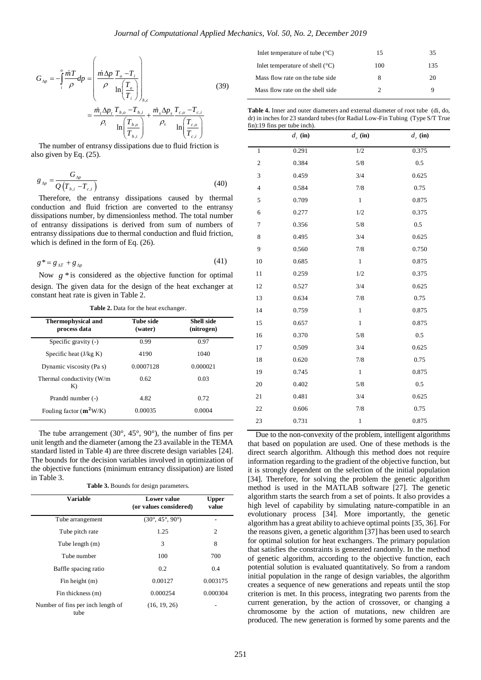$$
G_{\Delta p} = -\int_{i}^{o} \frac{\dot{m}T}{\rho} dp = \left( \frac{\dot{m} \Delta p}{\rho} \frac{T_{o} - T_{i}}{\ln(\frac{T_{o}}{T_{i}})} \right)_{h,c}
$$
(39)  

$$
= \frac{\dot{m}_{i} \Delta p_{i} T_{h,o} - T_{h,i}}{\rho_{i}} + \frac{\dot{m}_{s} \Delta p_{s} T_{c,o} - T_{c,i}}{\ln(\frac{T_{h,o}}{T_{h,i}})} + \frac{\dot{m}_{s} \Delta p_{s} T_{c,o} - T_{c,i}}{\ln(\frac{T_{c,o}}{T_{c,i}})}
$$

$$
g_{\Delta p} = \frac{G_{\Delta p}}{Q\left(T_{h,i} - T_{c,i}\right)}\tag{40}
$$

$$
g^* = g_{\Delta T} + g_{\Delta p} \tag{41}
$$

| <b>Thermophysical and</b><br>process data | <b>Tube side</b><br>(water) | <b>Shell side</b><br>(nitrogen) |
|-------------------------------------------|-----------------------------|---------------------------------|
| Specific gravity $(-)$                    | 0.99                        | 0.97                            |
| Specific heat $(J/kg K)$                  | 4190                        | 1040                            |
| Dynamic viscosity (Pa s)                  | 0.0007128                   | 0.000021                        |
| Thermal conductivity (W/m<br>K)           | 0.62                        | 0.03                            |
| Prandtl number (-)                        | 4.82                        | 0.72                            |
| Fouling factor $(m^2W/K)$                 | 0.00035                     | 0.0004                          |

**Table 3.** Bounds for design parameters.

|                                                                                                                                                                                                                                                                                                                                                                                                               | $\langle \cdot \cdot \cdot \cdot \rangle_{h,c}$                                                                                                                                                        |                       |
|---------------------------------------------------------------------------------------------------------------------------------------------------------------------------------------------------------------------------------------------------------------------------------------------------------------------------------------------------------------------------------------------------------------|--------------------------------------------------------------------------------------------------------------------------------------------------------------------------------------------------------|-----------------------|
|                                                                                                                                                                                                                                                                                                                                                                                                               | $=\frac{\dot{m}_i\Delta p_t}{\rho_t}\frac{T_{h,o}-T_{h,i}}{\ln\left(\frac{T_{h,o}}{T_{h,i}}\right)}+\frac{\dot{m}_s\Delta p_s}{\rho_s}\frac{T_{c,o}-T_{c,i}}{\ln\left(\frac{T_{c,o}}{T_{c,i}}\right)}$ |                       |
|                                                                                                                                                                                                                                                                                                                                                                                                               |                                                                                                                                                                                                        |                       |
| The number of entransy dissipations due to fluid friction is<br>also given by Eq. (25).                                                                                                                                                                                                                                                                                                                       |                                                                                                                                                                                                        |                       |
|                                                                                                                                                                                                                                                                                                                                                                                                               |                                                                                                                                                                                                        |                       |
| $g_{\Delta p} = \frac{G_{\Delta p}}{Q\left(T_{h,i} - T_{c,i}\right)}$                                                                                                                                                                                                                                                                                                                                         |                                                                                                                                                                                                        | (40)                  |
| Therefore, the entransy dissipations caused by thermal<br>conduction and fluid friction are converted to the entransy<br>dissipations number, by dimensionless method. The total number<br>of entransy dissipations is derived from sum of numbers of<br>entransy dissipations due to thermal conduction and fluid friction,<br>which is defined in the form of Eq. (26).                                     |                                                                                                                                                                                                        |                       |
| $g^* = g_{\Delta T} + g_{\Delta p}$                                                                                                                                                                                                                                                                                                                                                                           |                                                                                                                                                                                                        | (41)                  |
| Now $g *$ is considered as the objective function for optimal                                                                                                                                                                                                                                                                                                                                                 |                                                                                                                                                                                                        |                       |
| design. The given data for the design of the heat exchanger at                                                                                                                                                                                                                                                                                                                                                |                                                                                                                                                                                                        |                       |
| constant heat rate is given in Table 2.                                                                                                                                                                                                                                                                                                                                                                       | Table 2. Data for the heat exchanger.                                                                                                                                                                  |                       |
| Thermophysical and                                                                                                                                                                                                                                                                                                                                                                                            | Tube side                                                                                                                                                                                              | <b>Shell side</b>     |
| process data                                                                                                                                                                                                                                                                                                                                                                                                  | (water)                                                                                                                                                                                                | (nitrogen)            |
| Specific gravity $(-)$                                                                                                                                                                                                                                                                                                                                                                                        | 0.99                                                                                                                                                                                                   | 0.97                  |
| Specific heat $(J/kg K)$                                                                                                                                                                                                                                                                                                                                                                                      | 4190                                                                                                                                                                                                   | 1040                  |
| Dynamic viscosity (Pa s)                                                                                                                                                                                                                                                                                                                                                                                      | 0.0007128                                                                                                                                                                                              | 0.000021              |
| Thermal conductivity (W/m<br>K)                                                                                                                                                                                                                                                                                                                                                                               | 0.62                                                                                                                                                                                                   | 0.03                  |
| Prandtl number (-)                                                                                                                                                                                                                                                                                                                                                                                            | 4.82                                                                                                                                                                                                   | 0.72                  |
| Fouling factor $(m^2W/K)$                                                                                                                                                                                                                                                                                                                                                                                     | 0.00035                                                                                                                                                                                                | 0.0004                |
| The tube arrangement $(30^{\circ}, 45^{\circ}, 90^{\circ})$ , the number of fins per<br>unit length and the diameter (among the 23 available in the TEMA<br>standard listed in Table 4) are three discrete design variables [24].<br>The bounds for the decision variables involved in optimization of<br>the objective functions (minimum entrancy dissipation) are listed<br>in Table 3.<br><b>Variable</b> | Table 3. Bounds for design parameters.<br><b>Lower</b> value<br>(or values considered)                                                                                                                 | <b>Upper</b><br>value |
| Tube arrangement                                                                                                                                                                                                                                                                                                                                                                                              | $(30^{\circ}, 45^{\circ}, 90^{\circ})$                                                                                                                                                                 |                       |
| Tube pitch rate                                                                                                                                                                                                                                                                                                                                                                                               | 1.25                                                                                                                                                                                                   | 2                     |
| Tube length (m)                                                                                                                                                                                                                                                                                                                                                                                               | 3                                                                                                                                                                                                      | 8                     |
| Tube number                                                                                                                                                                                                                                                                                                                                                                                                   | 100                                                                                                                                                                                                    | 700                   |
| Baffle spacing ratio                                                                                                                                                                                                                                                                                                                                                                                          | 0.2                                                                                                                                                                                                    | 0.4                   |
| Fin height (m)                                                                                                                                                                                                                                                                                                                                                                                                | 0.00127                                                                                                                                                                                                | 0.003175              |
| Fin thickness (m)                                                                                                                                                                                                                                                                                                                                                                                             | 0.000254                                                                                                                                                                                               | 0.000304              |
| Number of fins per inch length of<br>tube                                                                                                                                                                                                                                                                                                                                                                     | (16, 19, 26)                                                                                                                                                                                           |                       |
|                                                                                                                                                                                                                                                                                                                                                                                                               |                                                                                                                                                                                                        |                       |

| Inlet temperature of tube $(^{\circ}C)$  | 15  | 35  |
|------------------------------------------|-----|-----|
| Inlet temperature of shell $(^{\circ}C)$ | 100 | 135 |
| Mass flow rate on the tube side.         | x   | 20  |
| Mass flow rate on the shell side.        |     | a   |

**Table 4.** Inner and outer diameters and external diameter of root tube (di, do, dr) in inches for 23 standard tubes (for Radial Low-Fin Tubing (Type S/T True fin):19 fins per tube inch).

| 12.111                  | $\alpha$ above $\alpha$ ,<br>$d_i$ (in) | $d_o$ (in)   | $d_r$ (in) |
|-------------------------|-----------------------------------------|--------------|------------|
| $\,$ 1 $\,$             | 0.291                                   | 1/2          | 0.375      |
| $\overline{\mathbf{c}}$ | 0.384                                   | $5/8$        | $0.5\,$    |
| 3                       | 0.459                                   | 3/4          | 0.625      |
| $\overline{4}$          | 0.584                                   | 7/8          | 0.75       |
| 5                       | 0.709                                   | $1\,$        | 0.875      |
| 6                       | 0.277                                   | 1/2          | 0.375      |
| $\tau$                  | 0.356                                   | $5/8$        | $0.5\,$    |
| 8                       | 0.495                                   | 3/4          | 0.625      |
| 9                       | 0.560                                   | 7/8          | 0.750      |
| 10                      | 0.685                                   | $1\,$        | 0.875      |
| 11                      | 0.259                                   | 1/2          | 0.375      |
| 12                      | 0.527                                   | 3/4          | 0.625      |
| 13                      | 0.634                                   | 7/8          | 0.75       |
| 14                      | 0.759                                   | $\,1$        | 0.875      |
| 15                      | 0.657                                   | $\mathbf{1}$ | 0.875      |
| 16                      | 0.370                                   | 5/8          | 0.5        |
| 17                      | 0.509                                   | 3/4          | 0.625      |
| 18                      | 0.620                                   | 7/8          | 0.75       |
| 19                      | 0.745                                   | $\mathbf{1}$ | 0.875      |
| 20                      | 0.402                                   | 5/8          | 0.5        |
| 21                      | 0.481                                   | 3/4          | 0.625      |
| 22                      | 0.606                                   | 7/8          | 0.75       |
| 23                      | 0.731                                   | $\,1$        | 0.875      |
|                         |                                         |              |            |

 Due to the non-convexity of the problem, intelligent algorithms that based on population are used. One of these methods is the direct search algorithm. Although this method does not require information regarding to the gradient of the objective function, but it is strongly dependent on the selection of the initial population [34]. Therefore, for solving the problem the genetic algorithm method is used in the MATLAB software [27]. The genetic algorithm starts the search from a set of points. It also provides a high level of capability by simulating nature-compatible in an evolutionary process [34]. More importantly, the genetic algorithm has a great ability to achieve optimal points [35, 36]. For the reasons given, a genetic algorithm [37] has been used to search for optimal solution for heat exchangers. The primary population that satisfies the constraints is generated randomly. In the method of genetic algorithm, according to the objective function, each potential solution is evaluated quantitatively. So from a random initial population in the range of design variables, the algorithm creates a sequence of new generations and repeats until the stop criterion is met. In this process, integrating two parents from the current generation, by the action of crossover, or changing a chromosome by the action of mutations, new children are produced. The new generation is formed by some parents and the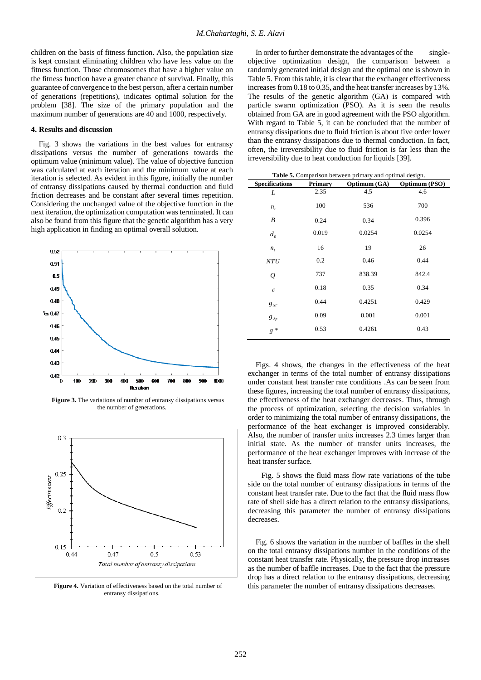children on the basis of fitness function. Also, the population size is kept constant eliminating children who have less value on the fitness function. Those chromosomes that have a higher value on the fitness function have a greater chance of survival. Finally, this guarantee of convergence to the best person, after a certain number of generations (repetitions), indicates optimal solution for the problem [38]. The size of the primary population and the maximum number of generations are 40 and 1000, respectively.

#### **4. Results and discussion**

 Fig. 3 shows the variations in the best values for entransy dissipations versus the number of generations towards the optimum value (minimum value). The value of objective function was calculated at each iteration and the minimum value at each iteration is selected. As evident in this figure, initially the number of entransy dissipations caused by thermal conduction and fluid friction decreases and be constant after several times repetition. Considering the unchanged value of the objective function in the next iteration, the optimization computation was terminated. It can also be found from this figure that the genetic algorithm has a very high application in finding an optimal overall solution.



**Figure 3.** The variations of number of entransy dissipations versus the number of generations.



**Figure 4.** Variation of effectiveness based on the total number of entransy dissipations.

In order to further demonstrate the advantages of the singleobjective optimization design, the comparison between a randomly generated initial design and the optimal one is shown in Table 5. From this table, it is clear that the exchanger effectiveness increases from 0.18 to 0.35, and the heat transfer increases by 13%. The results of the genetic algorithm (GA) is compared with particle swarm optimization (PSO). As it is seen the results obtained from GA are in good agreement with the PSO algorithm. With regard to Table 5, it can be concluded that the number of entransy dissipations due to fluid friction is about five order lower than the entransy dissipations due to thermal conduction. In fact, often, the irreversibility due to fluid friction is far less than the irreversibility due to heat conduction for liquids [39].

| <b>Table 5.</b> Comparison between primary and optimal design. |         |              |               |
|----------------------------------------------------------------|---------|--------------|---------------|
| <b>Specifications</b>                                          | Primary | Optimum (GA) | Optimum (PSO) |
| L                                                              | 2.35    | 4.5          | 4.6           |
| n,                                                             | 100     | 536          | 700           |
| B                                                              | 0.24    | 0.34         | 0.396         |
| $d_{0}$                                                        | 0.019   | 0.0254       | 0.0254        |
| $n_{f}$                                                        | 16      | 19           | 26            |
| NTU                                                            | 0.2     | 0.46         | 0.44          |
| Q                                                              | 737     | 838.39       | 842.4         |
| $\boldsymbol{\varepsilon}$                                     | 0.18    | 0.35         | 0.34          |
| $g_{\Delta T}$                                                 | 0.44    | 0.4251       | 0.429         |
| $g_{\Delta p}$                                                 | 0.09    | 0.001        | 0.001         |
| $g^*$                                                          | 0.53    | 0.4261       | 0.43          |
|                                                                |         |              |               |

 Figs. 4 shows, the changes in the effectiveness of the heat exchanger in terms of the total number of entransy dissipations under constant heat transfer rate conditions .As can be seen from these figures, increasing the total number of entransy dissipations, the effectiveness of the heat exchanger decreases. Thus, through the process of optimization, selecting the decision variables in order to minimizing the total number of entransy dissipations, the performance of the heat exchanger is improved considerably. Also, the number of transfer units increases 2.3 times larger than initial state. As the number of transfer units increases, the performance of the heat exchanger improves with increase of the heat transfer surface.

 Fig. 5 shows the fluid mass flow rate variations of the tube side on the total number of entransy dissipations in terms of the constant heat transfer rate. Due to the fact that the fluid mass flow rate of shell side has a direct relation to the entransy dissipations, decreasing this parameter the number of entransy dissipations decreases.

 Fig. 6 shows the variation in the number of baffles in the shell on the total entransy dissipations number in the conditions of the constant heat transfer rate. Physically, the pressure drop increases as the number of baffle increases. Due to the fact that the pressure drop has a direct relation to the entransy dissipations, decreasing this parameter the number of entransy dissipations decreases.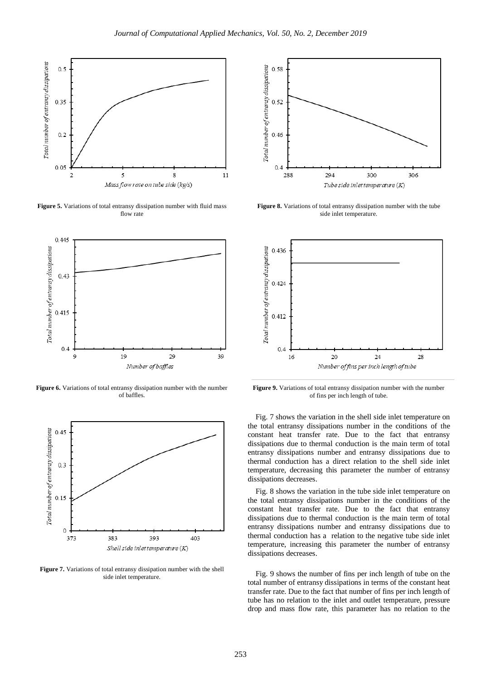

**Figure 5.** Variations of total entransy dissipation number with fluid mass flow rate



**Figure 6.** Variations of total entransy dissipation number with the number of baffles.



**Figure 7.** Variations of total entransy dissipation number with the shell side inlet temperature.



**Figure 8.** Variations of total entransy dissipation number with the tube side inlet temperature.



**Figure 9.** Variations of total entransy dissipation number with the number of fins per inch length of tube.

 Fig. 7 shows the variation in the shell side inlet temperature on the total entransy dissipations number in the conditions of the constant heat transfer rate. Due to the fact that entransy dissipations due to thermal conduction is the main term of total entransy dissipations number and entransy dissipations due to thermal conduction has a direct relation to the shell side inlet temperature, decreasing this parameter the number of entransy dissipations decreases.

 Fig. 8 shows the variation in the tube side inlet temperature on the total entransy dissipations number in the conditions of the constant heat transfer rate. Due to the fact that entransy dissipations due to thermal conduction is the main term of total entransy dissipations number and entransy dissipations due to thermal conduction has a relation to the negative tube side inlet temperature, increasing this parameter the number of entransy dissipations decreases.

 Fig. 9 shows the number of fins per inch length of tube on the total number of entransy dissipations in terms of the constant heat transfer rate. Due to the fact that number of fins per inch length of tube has no relation to the inlet and outlet temperature, pressure drop and mass flow rate, this parameter has no relation to the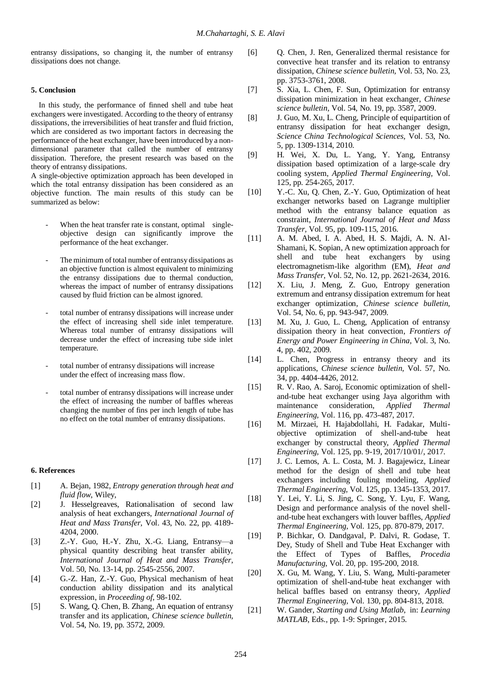entransy dissipations, so changing it, the number of entransy dissipations does not change.

#### **5. Conclusion**

 In this study, the performance of finned shell and tube heat exchangers were investigated. According to the theory of entransy dissipations, the irreversibilities of heat transfer and fluid friction, which are considered as two important factors in decreasing the performance of the heat exchanger, have been introduced by a nondimensional parameter that called the number of entransy dissipation. Therefore, the present research was based on the theory of entransy dissipations.

A single-objective optimization approach has been developed in which the total entransy dissipation has been considered as an objective function. The main results of this study can be summarized as below:

- When the heat transfer rate is constant, optimal singleobjective design can significantly improve the performance of the heat exchanger.
- The minimum of total number of entransy dissipations as an objective function is almost equivalent to minimizing the entransy dissipations due to thermal conduction, whereas the impact of number of entransy dissipations caused by fluid friction can be almost ignored.
- total number of entransy dissipations will increase under the effect of increasing shell side inlet temperature. Whereas total number of entransy dissipations will decrease under the effect of increasing tube side inlet temperature.
- total number of entransy dissipations will increase under the effect of increasing mass flow.
- total number of entransy dissipations will increase under the effect of increasing the number of baffles whereas changing the number of fins per inch length of tube has no effect on the total number of entransy dissipations.

#### **6. References**

- [1] A. Bejan, 1982, *Entropy generation through heat and fluid flow*, Wiley,
- [2] J. Hesselgreaves, Rationalisation of second law analysis of heat exchangers, *International Journal of Heat and Mass Transfer,* Vol. 43, No. 22, pp. 4189- 4204, 2000.
- [3] Z.-Y. Guo, H.-Y. Zhu, X.-G. Liang, Entransy—a physical quantity describing heat transfer ability, *International Journal of Heat and Mass Transfer,* Vol. 50, No. 13-14, pp. 2545-2556, 2007.
- [4] G.-Z. Han, Z.-Y. Guo, Physical mechanism of heat conduction ability dissipation and its analytical expression, in *Proceeding of,* 98-102.
- [5] S. Wang, Q. Chen, B. Zhang, An equation of entransy transfer and its application, *Chinese science bulletin,* Vol. 54, No. 19, pp. 3572, 2009.
- [6] O. Chen, J. Ren, Generalized thermal resistance for convective heat transfer and its relation to entransy dissipation, *Chinese science bulletin,* Vol. 53, No. 23, pp. 3753-3761, 2008.
- [7] S. Xia, L. Chen, F. Sun, Optimization for entransy dissipation minimization in heat exchanger, *Chinese science bulletin,* Vol. 54, No. 19, pp. 3587, 2009.
- [8] J. Guo, M. Xu, L. Cheng, Principle of equipartition of entransy dissipation for heat exchanger design, *Science China Technological Sciences,* Vol. 53, No. 5, pp. 1309-1314, 2010.
- [9] H. Wei, X. Du, L. Yang, Y. Yang, Entransy dissipation based optimization of a large-scale dry cooling system, *Applied Thermal Engineering,* Vol. 125, pp. 254-265, 2017.
- [10] Y.-C. Xu, Q. Chen, Z.-Y. Guo, Optimization of heat exchanger networks based on Lagrange multiplier method with the entransy balance equation as constraint, *International Journal of Heat and Mass Transfer,* Vol. 95, pp. 109-115, 2016.
- [11] A. M. Abed, I. A. Abed, H. S. Majdi, A. N. Al-Shamani, K. Sopian, A new optimization approach for shell and tube heat exchangers by using electromagnetism-like algorithm (EM), *Heat and Mass Transfer,* Vol. 52, No. 12, pp. 2621-2634, 2016.
- [12] X. Liu, J. Meng, Z. Guo, Entropy generation extremum and entransy dissipation extremum for heat exchanger optimization, *Chinese science bulletin,* Vol. 54, No. 6, pp. 943-947, 2009.
- [13] M. Xu, J. Guo, L. Cheng, Application of entransy dissipation theory in heat convection, *Frontiers of Energy and Power Engineering in China,* Vol. 3, No. 4, pp. 402, 2009.
- [14] L. Chen, Progress in entransy theory and its applications, *Chinese science bulletin,* Vol. 57, No. 34, pp. 4404-4426, 2012.
- [15] R. V. Rao, A. Saroj, Economic optimization of shelland-tube heat exchanger using Jaya algorithm with maintenance consideration, *Applied Thermal Engineering,* Vol. 116, pp. 473-487, 2017.
- [16] M. Mirzaei, H. Hajabdollahi, H. Fadakar, Multiobjective optimization of shell-and-tube heat exchanger by constructal theory, *Applied Thermal Engineering,* Vol. 125, pp. 9-19, 2017/10/01/, 2017.
- [17] J. C. Lemos, A. L. Costa, M. J. Bagajewicz, Linear method for the design of shell and tube heat exchangers including fouling modeling, *Applied Thermal Engineering,* Vol. 125, pp. 1345-1353, 2017.
- [18] Y. Lei, Y. Li, S. Jing, C. Song, Y. Lyu, F. Wang, Design and performance analysis of the novel shelland-tube heat exchangers with louver baffles, *Applied Thermal Engineering,* Vol. 125, pp. 870-879, 2017.
- [19] P. Bichkar, O. Dandgaval, P. Dalvi, R. Godase, T. Dey, Study of Shell and Tube Heat Exchanger with the Effect of Types of Baffles, *Procedia Manufacturing,* Vol. 20, pp. 195-200, 2018.
- [20] X. Gu, M. Wang, Y. Liu, S. Wang, Multi-parameter optimization of shell-and-tube heat exchanger with helical baffles based on entransy theory, *Applied Thermal Engineering,* Vol. 130, pp. 804-813, 2018.
- [21] W. Gander, *Starting and Using Matlab*, in: *Learning MATLAB*, Eds., pp. 1-9: Springer, 2015.